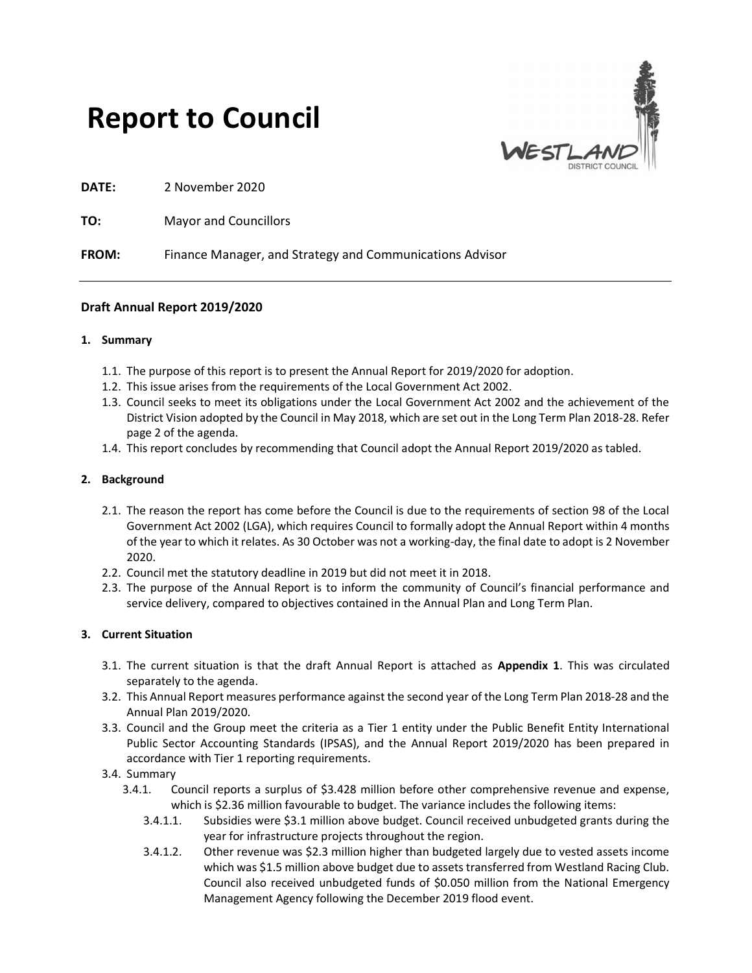# Report to Council



DATE: 2 November 2020

TO: Mayor and Councillors

FROM: Finance Manager, and Strategy and Communications Advisor

## Draft Annual Report 2019/2020

#### 1. Summary

- 1.1. The purpose of this report is to present the Annual Report for 2019/2020 for adoption.
- 1.2. This issue arises from the requirements of the Local Government Act 2002.
- 1.3. Council seeks to meet its obligations under the Local Government Act 2002 and the achievement of the District Vision adopted by the Council in May 2018, which are set out in the Long Term Plan 2018-28. Refer page 2 of the agenda.
- 1.4. This report concludes by recommending that Council adopt the Annual Report 2019/2020 as tabled.

#### 2. Background

- 2.1. The reason the report has come before the Council is due to the requirements of section 98 of the Local Government Act 2002 (LGA), which requires Council to formally adopt the Annual Report within 4 months of the year to which it relates. As 30 October was not a working-day, the final date to adopt is 2 November 2020.
- 2.2. Council met the statutory deadline in 2019 but did not meet it in 2018.
- 2.3. The purpose of the Annual Report is to inform the community of Council's financial performance and service delivery, compared to objectives contained in the Annual Plan and Long Term Plan.

## 3. Current Situation

- 3.1. The current situation is that the draft Annual Report is attached as Appendix 1. This was circulated separately to the agenda.
- 3.2. This Annual Report measures performance against the second year of the Long Term Plan 2018-28 and the Annual Plan 2019/2020.
- 3.3. Council and the Group meet the criteria as a Tier 1 entity under the Public Benefit Entity International Public Sector Accounting Standards (IPSAS), and the Annual Report 2019/2020 has been prepared in accordance with Tier 1 reporting requirements.
- 3.4. Summary
	- 3.4.1. Council reports a surplus of \$3.428 million before other comprehensive revenue and expense, which is \$2.36 million favourable to budget. The variance includes the following items:
		- 3.4.1.1. Subsidies were \$3.1 million above budget. Council received unbudgeted grants during the year for infrastructure projects throughout the region.
		- 3.4.1.2. Other revenue was \$2.3 million higher than budgeted largely due to vested assets income which was \$1.5 million above budget due to assets transferred from Westland Racing Club. Council also received unbudgeted funds of \$0.050 million from the National Emergency Management Agency following the December 2019 flood event.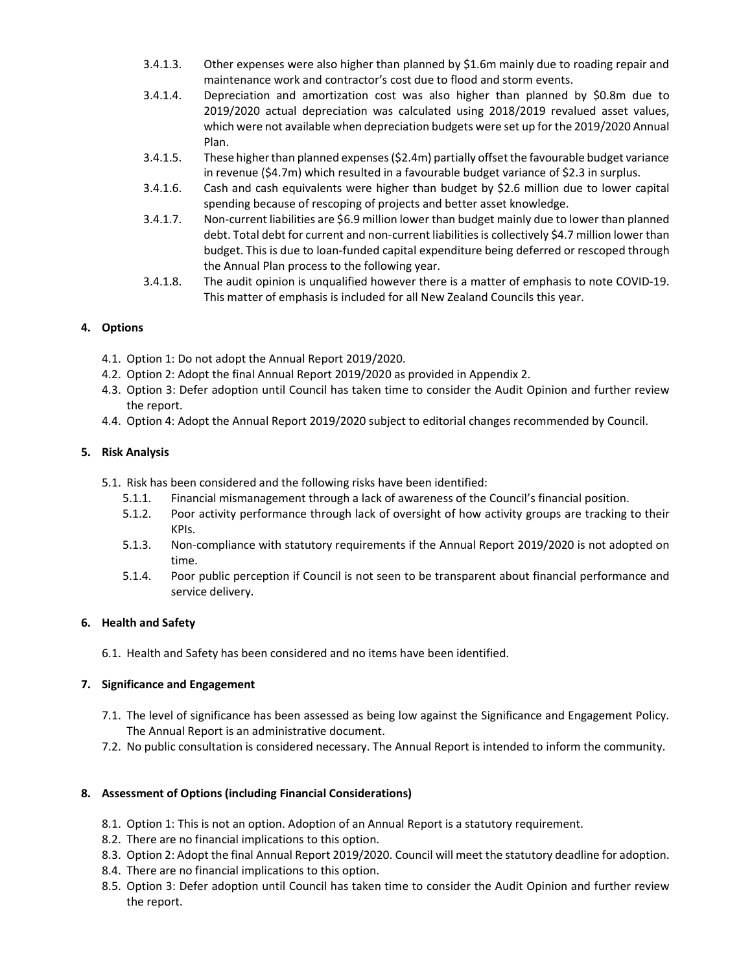- 3.4.1.3. Other expenses were also higher than planned by \$1.6m mainly due to roading repair and maintenance work and contractor's cost due to flood and storm events.
- 3.4.1.4. Depreciation and amortization cost was also higher than planned by \$0.8m due to 2019/2020 actual depreciation was calculated using 2018/2019 revalued asset values, which were not available when depreciation budgets were set up for the 2019/2020 Annual Plan.
- 3.4.1.5. These higher than planned expenses (\$2.4m) partially offset the favourable budget variance in revenue (\$4.7m) which resulted in a favourable budget variance of \$2.3 in surplus.
- 3.4.1.6. Cash and cash equivalents were higher than budget by \$2.6 million due to lower capital spending because of rescoping of projects and better asset knowledge.
- 3.4.1.7. Non-current liabilities are \$6.9 million lower than budget mainly due to lower than planned debt. Total debt for current and non-current liabilities is collectively \$4.7 million lower than budget. This is due to loan-funded capital expenditure being deferred or rescoped through the Annual Plan process to the following year.
- 3.4.1.8. The audit opinion is unqualified however there is a matter of emphasis to note COVID-19. This matter of emphasis is included for all New Zealand Councils this year.

# 4. Options

- 4.1. Option 1: Do not adopt the Annual Report 2019/2020.
- 4.2. Option 2: Adopt the final Annual Report 2019/2020 as provided in Appendix 2.
- 4.3. Option 3: Defer adoption until Council has taken time to consider the Audit Opinion and further review the report.
- 4.4. Option 4: Adopt the Annual Report 2019/2020 subject to editorial changes recommended by Council.

# 5. Risk Analysis

- 5.1. Risk has been considered and the following risks have been identified:
	- 5.1.1. Financial mismanagement through a lack of awareness of the Council's financial position.
	- 5.1.2. Poor activity performance through lack of oversight of how activity groups are tracking to their KPIs.
	- 5.1.3. Non-compliance with statutory requirements if the Annual Report 2019/2020 is not adopted on time.
	- 5.1.4. Poor public perception if Council is not seen to be transparent about financial performance and service delivery.

## 6. Health and Safety

6.1. Health and Safety has been considered and no items have been identified.

## 7. Significance and Engagement

- 7.1. The level of significance has been assessed as being low against the Significance and Engagement Policy. The Annual Report is an administrative document.
- 7.2. No public consultation is considered necessary. The Annual Report is intended to inform the community.

## 8. Assessment of Options (including Financial Considerations)

- 8.1. Option 1: This is not an option. Adoption of an Annual Report is a statutory requirement.
- 8.2. There are no financial implications to this option.
- 8.3. Option 2: Adopt the final Annual Report 2019/2020. Council will meet the statutory deadline for adoption.
- 8.4. There are no financial implications to this option.
- 8.5. Option 3: Defer adoption until Council has taken time to consider the Audit Opinion and further review the report.